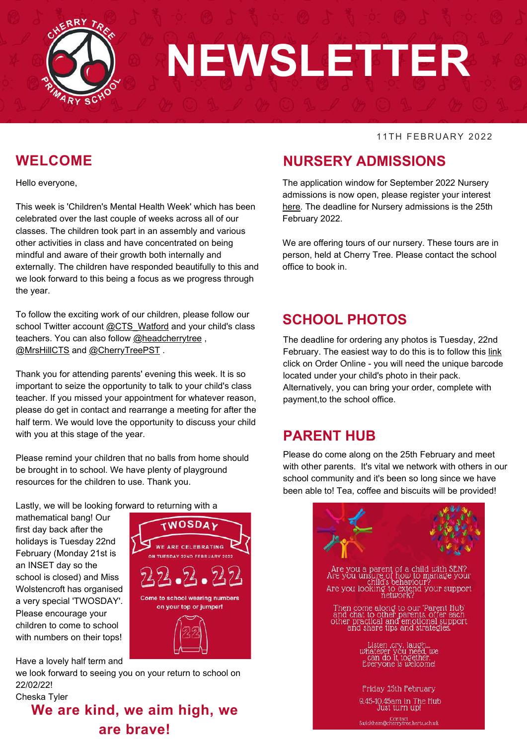

# **NEWSLETTER**

#### 11TH FEBRUARY 2022

#### **WELCOME**

Hello everyone,

This week is 'Children's Mental Health Week' which has been celebrated over the last couple of weeks across all of our classes. The children took part in an assembly and various other activities in class and have concentrated on being mindful and aware of their growth both internally and externally. The children have responded beautifully to this and we look forward to this being a focus as we progress through the year.

To follow the exciting work of our children, please follow our school Twitter account [@CTS\\_Watford](https://twitter.com/CTS_Watford?s=20&t=aw6o_-FTGKTzx5DPMYXFNA) and your child's class teachers. You can also follow [@headcherrytree](https://twitter.com/headcherrytree), [@MrsHillCTS](https://twitter.com/MrsHillCTS?s=20&t=Yxkm-5oA1DpobaPt95GZTw) and [@CherryTreePST](https://twitter.com/CherryTreePST?s=20&t=Yxkm-5oA1DpobaPt95GZTw) .

Thank you for attending parents' evening this week. It is so important to seize the opportunity to talk to your child's class teacher. If you missed your appointment for whatever reason, please do get in contact and rearrange a meeting for after the half term. We would love the opportunity to discuss your child with you at this stage of the year.

Please remind your children that no balls from home should be brought in to school. We have plenty of playground resources for the children to use. Thank you.

Lastly, we will be looking forward to returning with a

mathematical bang! Our first day back after the holidays is Tuesday 22nd February (Monday 21st is an INSET day so the school is closed) and Miss Wolstencroft has organised a very special 'TWOSDAY'. Please encourage your children to come to school with numbers on their tops!



Have a lovely half term and we look forward to seeing you on your return to school on 22/02/22!

#### Cheska Tyler **We are kind, we aim high, we are brave!**

#### **NURSERY ADMISSIONS**

The application window for September 2022 Nursery admissions is now open, please register your interest [here.](https://forms.office.com/r/0dupw0CY0E) The deadline for Nursery admissions is the 25th February 2022.

We are offering tours of our nursery. These tours are in person, held at Cherry Tree. Please contact the school office to book in.

#### **SCHOOL PHOTOS**

The deadline for ordering any photos is Tuesday, 22nd February. The easiest way to do this is to follow this [link](http://www.braiswick.co.uk/) click on Order Online - you will need the unique barcode located under your child's photo in their pack. Alternatively, you can bring your order, complete with payment,to the school office.

#### **PARENT HUB**

Please do come along on the 25th February and meet with other parents. It's vital we network with others in our school community and it's been so long since we have been able to! Tea, coffee and biscuits will be provided!

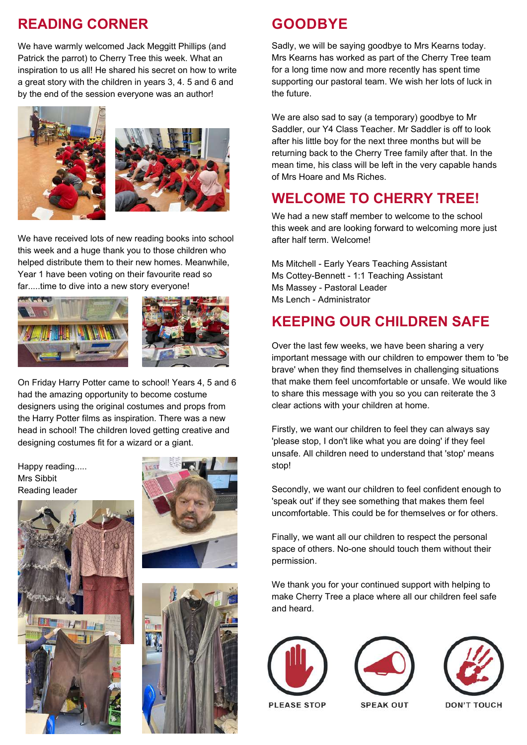#### **READING CORNER**

We have warmly welcomed Jack Meggitt Phillips (and Patrick the parrot) to Cherry Tree this week. What an inspiration to us all! He shared his secret on how to write a great story with the children in years 3, 4. 5 and 6 and by the end of the session everyone was an author!





We have received lots of new reading books into school this week and a huge thank you to those children who helped distribute them to their new homes. Meanwhile, Year 1 have been voting on their favourite read so far.....time to dive into a new story everyone!





On Friday Harry Potter came to school! Years 4, 5 and 6 had the amazing opportunity to become costume designers using the original costumes and props from the Harry Potter films as inspiration. There was a new head in school! The children loved getting creative and designing costumes fit for a wizard or a giant.

Happy reading..... Mrs Sibbit Reading leader







#### **GOODBYE**

Sadly, we will be saying goodbye to Mrs Kearns today. Mrs Kearns has worked as part of the Cherry Tree team for a long time now and more recently has spent time supporting our pastoral team. We wish her lots of luck in the future.

We are also sad to say (a temporary) goodbye to Mr Saddler, our Y4 Class Teacher. Mr Saddler is off to look after his little boy for the next three months but will be returning back to the Cherry Tree family after that. In the mean time, his class will be left in the very capable hands of Mrs Hoare and Ms Riches.

#### **WELCOME TO CHERRY TREE!**

We had a new staff member to welcome to the school this week and are looking forward to welcoming more just after half term. Welcome!

Ms Mitchell - Early Years Teaching Assistant Ms Cottey-Bennett - 1:1 Teaching Assistant Ms Massey - Pastoral Leader Ms Lench - Administrator

### **KEEPING OUR CHILDREN SAFE**

Over the last few weeks, we have been sharing a very important message with our children to empower them to 'be brave' when they find themselves in challenging situations that make them feel uncomfortable or unsafe. We would like to share this message with you so you can reiterate the 3 clear actions with your children at home.

Firstly, we want our children to feel they can always say 'please stop, I don't like what you are doing' if they feel unsafe. All children need to understand that 'stop' means stop!

Secondly, we want our children to feel confident enough to 'speak out' if they see something that makes them feel uncomfortable. This could be for themselves or for others.

Finally, we want all our children to respect the personal space of others. No-one should touch them without their permission.

We thank you for your continued support with helping to make Cherry Tree a place where all our children feel safe and heard.







**SPEAK OUT**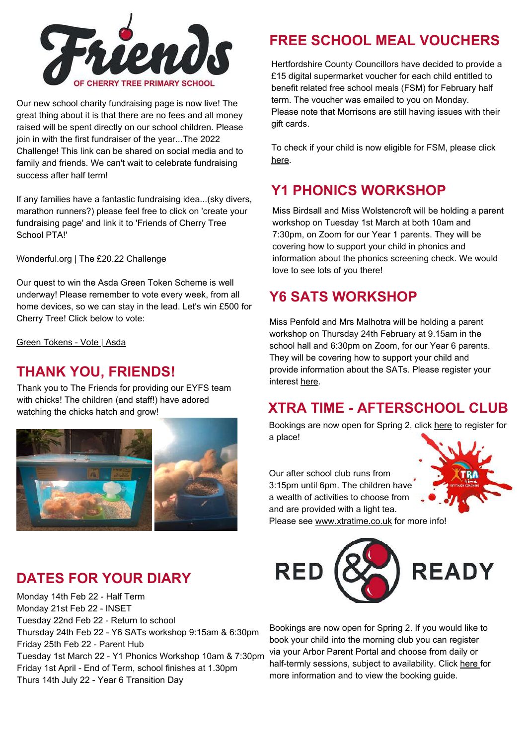

Our new school charity fundraising page is now live! The great thing about it is that there are no fees and all money raised will be spent directly on our school children. Please join in with the first fundraiser of the year...The 2022 Challenge! This link can be shared on social media and to family and friends. We can't wait to celebrate fundraising success after half term!

If any families have a fantastic fundraising idea...(sky divers, marathon runners?) please feel free to click on 'create your fundraising page' and link it to 'Friends of Cherry Tree School PTA!'

[Wonderful.org](https://wonderful.org/fundraisers/413) | The £20.22 Challenge

Our quest to win the Asda Green Token Scheme is well underway! Please remember to vote every week, from all home devices, so we can stay in the lead. Let's win £500 for Cherry Tree! Click below to vote:

Green [Tokens](https://www.asda.com/green-tokens/store?store=4642) - Vote | Asda

#### **THANK YOU, FRIENDS!**

Thank you to The Friends for providing our EYFS team with chicks! The children (and staff!) have adored watching the chicks hatch and grow!



### **DATES FOR YOUR DIARY**

Monday 14th Feb 22 - Half Term Monday 21st Feb 22 - INSET Tuesday 22nd Feb 22 - Return to school Thursday 24th Feb 22 - Y6 SATs workshop 9:15am & 6:30pm Friday 25th Feb 22 - Parent Hub Tuesday 1st March 22 - Y1 Phonics Workshop 10am & 7:30pm Friday 1st April - End of Term, school finishes at 1.30pm Thurs 14th July 22 - Year 6 Transition Day

#### **FREE SCHOOL MEAL VOUCHERS**

Hertfordshire County Councillors have decided to provide a £15 digital supermarket voucher for each child entitled to benefit related free school meals (FSM) for February half term. The voucher was emailed to you on Monday. Please note that Morrisons are still having issues with their gift cards.

To check if your child is now eligible for FSM, please click [here.](https://www.hertfordshire.gov.uk/services/schools-and-education/at-school/free-school-meals/free-school-meals.aspx)

## **Y1 PHONICS WORKSHOP**

Miss Birdsall and Miss Wolstencroft will be holding a parent workshop on Tuesday 1st March at both 10am and 7:30pm, on Zoom for our Year 1 parents. They will be covering how to support your child in phonics and information about the phonics screening check. We would love to see lots of you there!

#### **Y6 SATS WORKSHOP**

Miss Penfold and Mrs Malhotra will be holding a parent workshop on Thursday 24th February at 9.15am in the school hall and 6:30pm on Zoom, for our Year 6 parents. They will be covering how to support your child and provide information about the SATs. Please register your interest [here.](https://forms.office.com/r/VXjsvkyq2b)

### **XTRA TIME - AFTERSCHOOL CLUB**

Bookings are now open for Spring 2, click [here](https://form.jotform.com/220403308816347) to register for a place!

Our after school club runs from 3:15pm until 6pm. The children have a wealth of activities to choose from and are provided with a light tea. Please see [www.xtratime.co.uk](https://www.xtratime.co.uk/) for more info!





Bookings are now open for Spring 2. If you would like to book your child into the morning club you can register via your Arbor Parent Portal and choose from daily or half-termly sessions, subject to availability. Click [here](https://www.cherrytree.herts.sch.uk/attachments/download.asp?file=934&type=pdf) for more information and to view the booking guide.